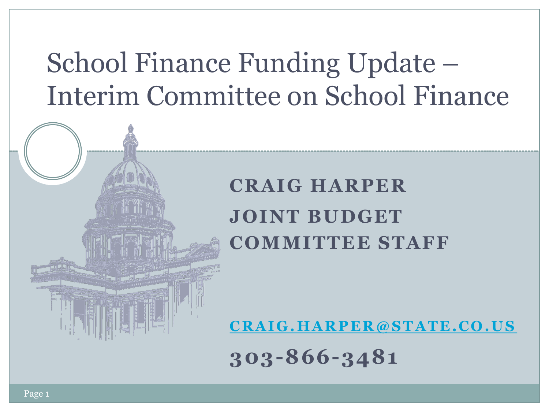## School Finance Funding Update – Interim Committee on School Finance

#### **CRAIG HARPER JOINT BUDGET COMMITTEE STAFF**

**[C R A I G . H A R P E R @ S T A T E . C O . U S](mailto:Cragi.harper@state.co.us)**

**303-866-3481**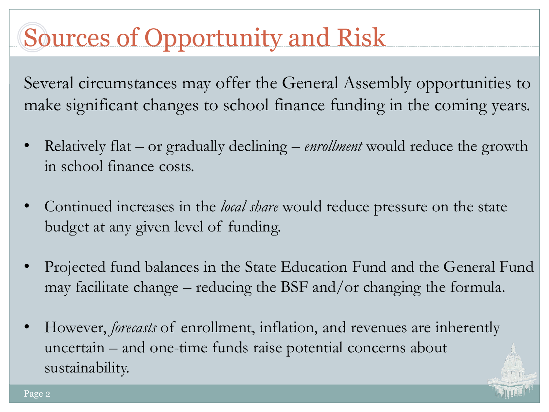## Sources of Opportunity and Risk

Several circumstances may offer the General Assembly opportunities to make significant changes to school finance funding in the coming years.

- Relatively flat or gradually declining *enrollment* would reduce the growth in school finance costs.
- Continued increases in the *local share* would reduce pressure on the state budget at any given level of funding.
- Projected fund balances in the State Education Fund and the General Fund may facilitate change – reducing the BSF and/or changing the formula.
- However, *forecasts* of enrollment, inflation, and revenues are inherently uncertain – and one-time funds raise potential concerns about sustainability.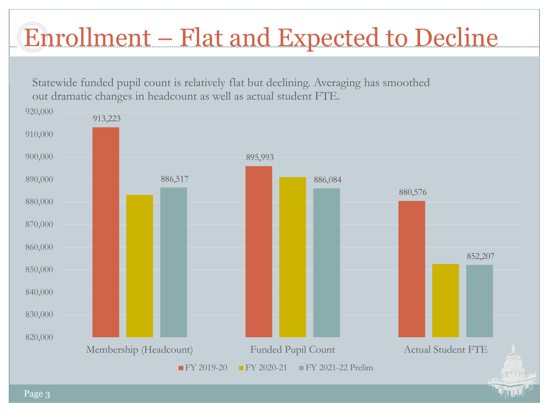# Enrollment – Flat and Expected to Decline

Statewide funded pupil count is relatively flat but declining. Averaging has smoothed out dramatic changes in headcount as well as actual student FTE.

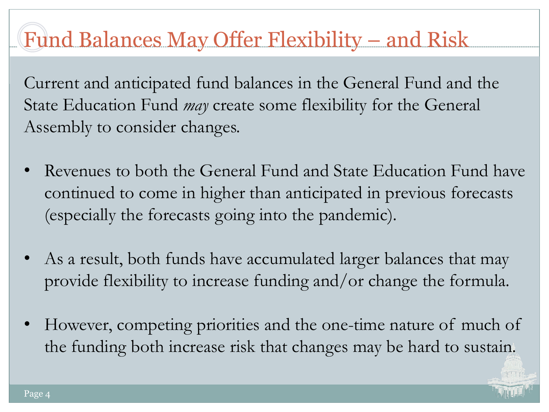### Fund Balances May Offer Flexibility – and Risk

Current and anticipated fund balances in the General Fund and the State Education Fund *may* create some flexibility for the General Assembly to consider changes.

- Revenues to both the General Fund and State Education Fund have continued to come in higher than anticipated in previous forecasts (especially the forecasts going into the pandemic).
- As a result, both funds have accumulated larger balances that may provide flexibility to increase funding and/or change the formula.
- However, competing priorities and the one-time nature of much of the funding both increase risk that changes may be hard to sustain.